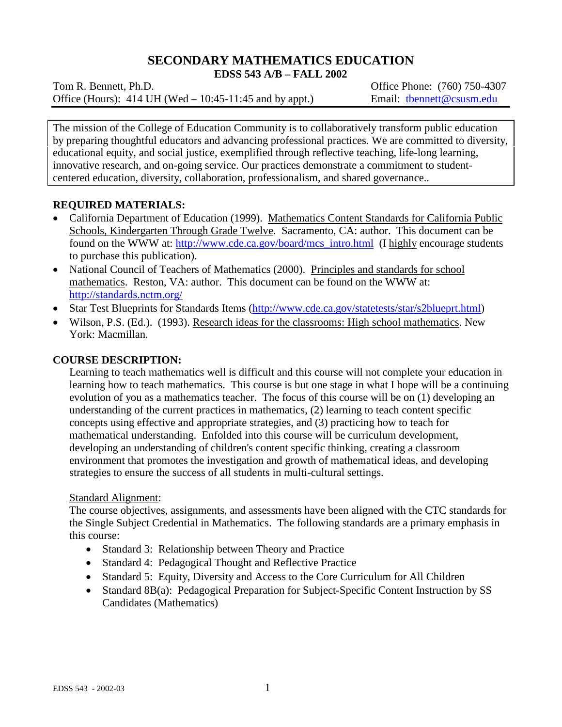# **SECONDARY MATHEMATICS EDUCATION**

**EDSS 543 A/B – FALL 2002**

Tom R. Bennett, Ph.D. Commonly 1. Commonly 1. Commonly 1. Commonly 1. Commonly 1. Commonly 1. Commonly 1. Commonly 1. Commonly 1. Commonly 1. Commonly 1. Commonly 1. Commonly 1. Commonly 1. Commonly 1. Commonly 1. Commonly Office (Hours): 414 UH (Wed – 10:45-11:45 and by appt.) Email: thenett@csusm.edu

The mission of the College of Education Community is to collaboratively transform public education by preparing thoughtful educators and advancing professional practices. We are committed to diversity, educational equity, and social justice, exemplified through reflective teaching, life-long learning, innovative research, and on-going service. Our practices demonstrate a commitment to studentcentered education, diversity, collaboration, professionalism, and shared governance..

# **REQUIRED MATERIALS:**

- California Department of Education (1999). Mathematics Content Standards for California Public Schools, Kindergarten Through Grade Twelve. Sacramento, CA: author. This document can be found on the WWW at: [http://www.cde.ca.gov/board/mcs\\_intro.html](http://www.cde.ca.gov/board/mcs_intro.html) (I highly encourage students to purchase this publication).
- National Council of Teachers of Mathematics (2000). Principles and standards for school mathematics. Reston, VA: author. This document can be found on the WWW at: <http://standards.nctm.org/>
- Star Test Blueprints for Standards Items [\(http://www.cde.ca.gov/statetests/star/s2blueprt.html\)](http://www.cde.ca.gov/statetests/star/s2blueprt.html)
- Wilson, P.S. (Ed.). (1993). Research ideas for the classrooms: High school mathematics. New York: Macmillan.

## **COURSE DESCRIPTION:**

Learning to teach mathematics well is difficult and this course will not complete your education in learning how to teach mathematics. This course is but one stage in what I hope will be a continuing evolution of you as a mathematics teacher. The focus of this course will be on (1) developing an understanding of the current practices in mathematics, (2) learning to teach content specific concepts using effective and appropriate strategies, and (3) practicing how to teach for mathematical understanding. Enfolded into this course will be curriculum development, developing an understanding of children's content specific thinking, creating a classroom environment that promotes the investigation and growth of mathematical ideas, and developing strategies to ensure the success of all students in multi-cultural settings.

## Standard Alignment:

The course objectives, assignments, and assessments have been aligned with the CTC standards for the Single Subject Credential in Mathematics. The following standards are a primary emphasis in this course:

- Standard 3: Relationship between Theory and Practice
- Standard 4: Pedagogical Thought and Reflective Practice
- Standard 5: Equity, Diversity and Access to the Core Curriculum for All Children
- Standard 8B(a): Pedagogical Preparation for Subject-Specific Content Instruction by SS Candidates (Mathematics)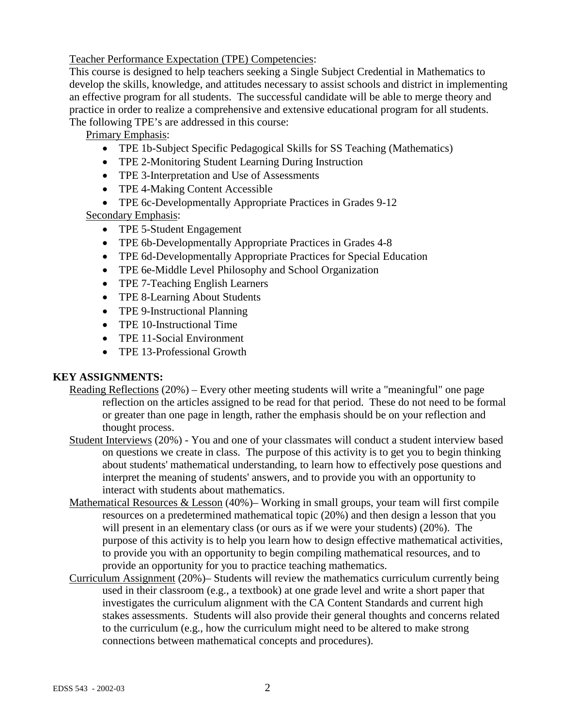Teacher Performance Expectation (TPE) Competencies:

This course is designed to help teachers seeking a Single Subject Credential in Mathematics to develop the skills, knowledge, and attitudes necessary to assist schools and district in implementing an effective program for all students. The successful candidate will be able to merge theory and practice in order to realize a comprehensive and extensive educational program for all students. The following TPE's are addressed in this course:

Primary Emphasis:

- TPE 1b-Subject Specific Pedagogical Skills for SS Teaching (Mathematics)
- TPE 2-Monitoring Student Learning During Instruction
- TPE 3-Interpretation and Use of Assessments
- TPE 4-Making Content Accessible
- TPE 6c-Developmentally Appropriate Practices in Grades 9-12 Secondary Emphasis:

- TPE 5-Student Engagement
- TPE 6b-Developmentally Appropriate Practices in Grades 4-8
- TPE 6d-Developmentally Appropriate Practices for Special Education
- TPE 6e-Middle Level Philosophy and School Organization
- TPE 7-Teaching English Learners
- TPE 8-Learning About Students
- TPE 9-Instructional Planning
- TPE 10-Instructional Time
- TPE 11-Social Environment
- TPE 13-Professional Growth

# **KEY ASSIGNMENTS:**

- Reading Reflections (20%) Every other meeting students will write a "meaningful" one page reflection on the articles assigned to be read for that period. These do not need to be formal or greater than one page in length, rather the emphasis should be on your reflection and thought process.
- Student Interviews (20%) You and one of your classmates will conduct a student interview based on questions we create in class. The purpose of this activity is to get you to begin thinking about students' mathematical understanding, to learn how to effectively pose questions and interpret the meaning of students' answers, and to provide you with an opportunity to interact with students about mathematics.
- Mathematical Resources & Lesson (40%)– Working in small groups, your team will first compile resources on a predetermined mathematical topic (20%) and then design a lesson that you will present in an elementary class (or ours as if we were your students) (20%). The purpose of this activity is to help you learn how to design effective mathematical activities, to provide you with an opportunity to begin compiling mathematical resources, and to provide an opportunity for you to practice teaching mathematics.
- Curriculum Assignment (20%)– Students will review the mathematics curriculum currently being used in their classroom (e.g., a textbook) at one grade level and write a short paper that investigates the curriculum alignment with the CA Content Standards and current high stakes assessments. Students will also provide their general thoughts and concerns related to the curriculum (e.g., how the curriculum might need to be altered to make strong connections between mathematical concepts and procedures).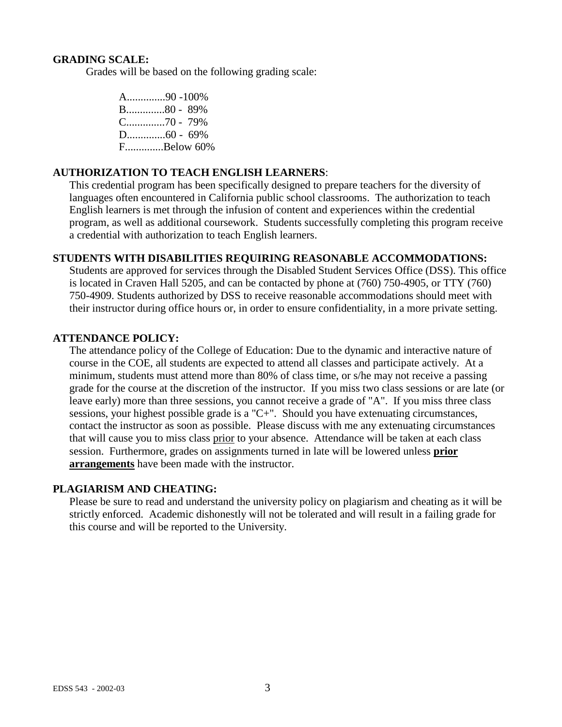#### **GRADING SCALE:**

Grades will be based on the following grading scale:

A..............90 -100% B..............80 - 89% C..............70 - 79% D..............60 - 69% F..............Below 60%

## **AUTHORIZATION TO TEACH ENGLISH LEARNERS**:

This credential program has been specifically designed to prepare teachers for the diversity of languages often encountered in California public school classrooms. The authorization to teach English learners is met through the infusion of content and experiences within the credential program, as well as additional coursework. Students successfully completing this program receive a credential with authorization to teach English learners.

## **STUDENTS WITH DISABILITIES REQUIRING REASONABLE ACCOMMODATIONS:**

Students are approved for services through the Disabled Student Services Office (DSS). This office is located in Craven Hall 5205, and can be contacted by phone at (760) 750-4905, or TTY (760) 750-4909. Students authorized by DSS to receive reasonable accommodations should meet with their instructor during office hours or, in order to ensure confidentiality, in a more private setting.

#### **ATTENDANCE POLICY:**

The attendance policy of the College of Education: Due to the dynamic and interactive nature of course in the COE, all students are expected to attend all classes and participate actively. At a minimum, students must attend more than 80% of class time, or s/he may not receive a passing grade for the course at the discretion of the instructor. If you miss two class sessions or are late (or leave early) more than three sessions, you cannot receive a grade of "A". If you miss three class sessions, your highest possible grade is a "C+". Should you have extenuating circumstances, contact the instructor as soon as possible. Please discuss with me any extenuating circumstances that will cause you to miss class prior to your absence. Attendance will be taken at each class session. Furthermore, grades on assignments turned in late will be lowered unless **prior arrangements** have been made with the instructor.

#### **PLAGIARISM AND CHEATING:**

Please be sure to read and understand the university policy on plagiarism and cheating as it will be strictly enforced. Academic dishonestly will not be tolerated and will result in a failing grade for this course and will be reported to the University.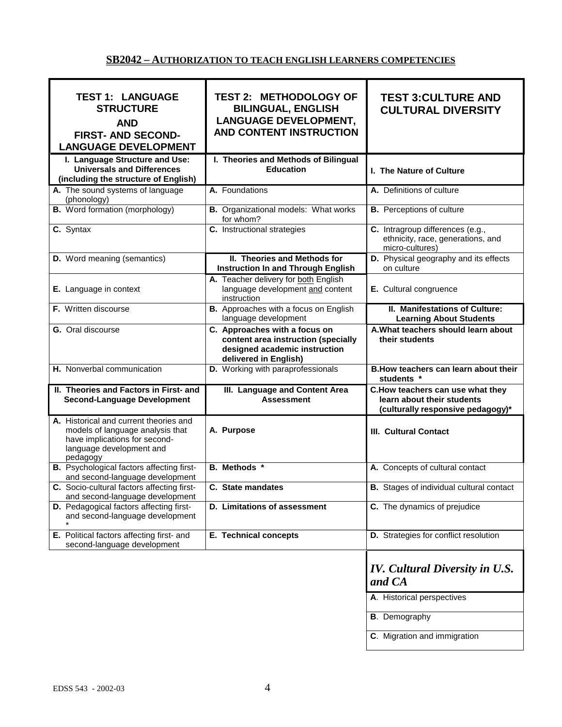## **SB2042 – AUTHORIZATION TO TEACH ENGLISH LEARNERS COMPETENCIES**

| <b>TEST 1: LANGUAGE</b><br><b>STRUCTURE</b><br><b>AND</b><br><b>FIRST- AND SECOND-</b><br><b>LANGUAGE DEVELOPMENT</b>                               | <b>TEST 2: METHODOLOGY OF</b><br><b>BILINGUAL, ENGLISH</b><br><b>LANGUAGE DEVELOPMENT,</b><br><b>AND CONTENT INSTRUCTION</b>   | <b>TEST 3: CULTURE AND</b><br><b>CULTURAL DIVERSITY</b>                                              |
|-----------------------------------------------------------------------------------------------------------------------------------------------------|--------------------------------------------------------------------------------------------------------------------------------|------------------------------------------------------------------------------------------------------|
| I. Language Structure and Use:<br><b>Universals and Differences</b><br>(including the structure of English)                                         | I. Theories and Methods of Bilingual<br><b>Education</b>                                                                       | I. The Nature of Culture                                                                             |
| A. The sound systems of language<br>(phonology)                                                                                                     | A. Foundations                                                                                                                 | A. Definitions of culture                                                                            |
| <b>B.</b> Word formation (morphology)                                                                                                               | <b>B.</b> Organizational models: What works<br>for whom?                                                                       | <b>B.</b> Perceptions of culture                                                                     |
| C. Syntax                                                                                                                                           | C. Instructional strategies                                                                                                    | C. Intragroup differences (e.g.,<br>ethnicity, race, generations, and<br>micro-cultures)             |
| <b>D.</b> Word meaning (semantics)                                                                                                                  | II. Theories and Methods for<br><b>Instruction In and Through English</b>                                                      | D. Physical geography and its effects<br>on culture                                                  |
| E. Language in context                                                                                                                              | A. Teacher delivery for both English<br>language development and content<br>instruction                                        | E. Cultural congruence                                                                               |
| F. Written discourse                                                                                                                                | B. Approaches with a focus on English<br>language development                                                                  | II. Manifestations of Culture:<br><b>Learning About Students</b>                                     |
| G. Oral discourse                                                                                                                                   | C. Approaches with a focus on<br>content area instruction (specially<br>designed academic instruction<br>delivered in English) | A. What teachers should learn about<br>their students                                                |
| H. Nonverbal communication                                                                                                                          | D. Working with paraprofessionals                                                                                              | B. How teachers can learn about their                                                                |
|                                                                                                                                                     |                                                                                                                                | students *                                                                                           |
| II. Theories and Factors in First- and<br><b>Second-Language Development</b>                                                                        | III. Language and Content Area<br><b>Assessment</b>                                                                            | C. How teachers can use what they<br>learn about their students<br>(culturally responsive pedagogy)* |
| A. Historical and current theories and<br>models of language analysis that<br>have implications for second-<br>language development and<br>pedagogy | A. Purpose                                                                                                                     | <b>III. Cultural Contact</b>                                                                         |
| <b>B.</b> Psychological factors affecting first-<br>and second-language development                                                                 | B. Methods *                                                                                                                   | A. Concepts of cultural contact                                                                      |
| C. Socio-cultural factors affecting first-<br>and second-language development                                                                       | C. State mandates                                                                                                              | <b>B.</b> Stages of individual cultural contact                                                      |
| D. Pedagogical factors affecting first-<br>and second-language development                                                                          | D. Limitations of assessment                                                                                                   | C. The dynamics of prejudice                                                                         |
| E. Political factors affecting first- and<br>second-language development                                                                            | <b>E. Technical concepts</b>                                                                                                   | D. Strategies for conflict resolution                                                                |
|                                                                                                                                                     |                                                                                                                                | <b>IV.</b> Cultural Diversity in U.S.<br>and CA                                                      |
|                                                                                                                                                     |                                                                                                                                | A. Historical perspectives                                                                           |
|                                                                                                                                                     |                                                                                                                                | <b>B.</b> Demography                                                                                 |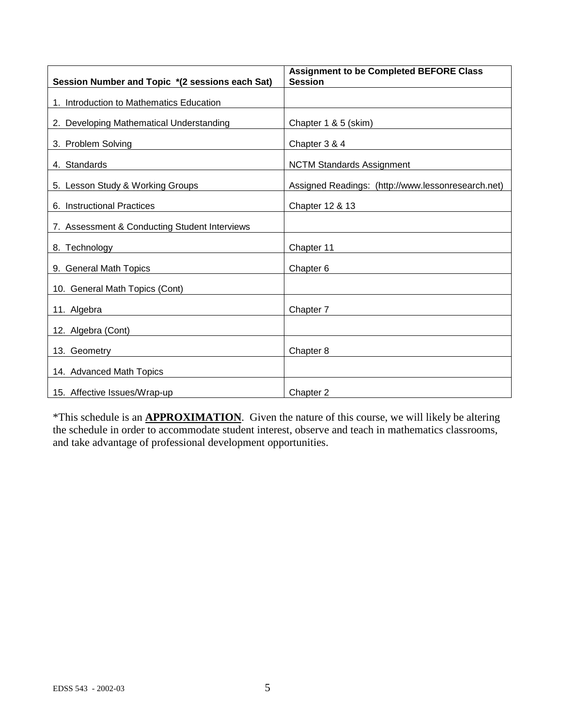| Session Number and Topic *(2 sessions each Sat) | <b>Assignment to be Completed BEFORE Class</b><br><b>Session</b> |
|-------------------------------------------------|------------------------------------------------------------------|
| 1. Introduction to Mathematics Education        |                                                                  |
| 2. Developing Mathematical Understanding        | Chapter 1 & 5 (skim)                                             |
| 3. Problem Solving                              | Chapter 3 & 4                                                    |
| 4. Standards                                    | <b>NCTM Standards Assignment</b>                                 |
| 5. Lesson Study & Working Groups                | Assigned Readings: (http://www.lessonresearch.net)               |
| 6. Instructional Practices                      | Chapter 12 & 13                                                  |
| 7. Assessment & Conducting Student Interviews   |                                                                  |
| 8. Technology                                   | Chapter 11                                                       |
| 9. General Math Topics                          | Chapter 6                                                        |
| 10. General Math Topics (Cont)                  |                                                                  |
| 11. Algebra                                     | Chapter 7                                                        |
| 12. Algebra (Cont)                              |                                                                  |
| 13. Geometry                                    | Chapter 8                                                        |
| 14. Advanced Math Topics                        |                                                                  |
| 15. Affective Issues/Wrap-up                    | Chapter 2                                                        |

\*This schedule is an **APPROXIMATION**. Given the nature of this course, we will likely be altering the schedule in order to accommodate student interest, observe and teach in mathematics classrooms, and take advantage of professional development opportunities.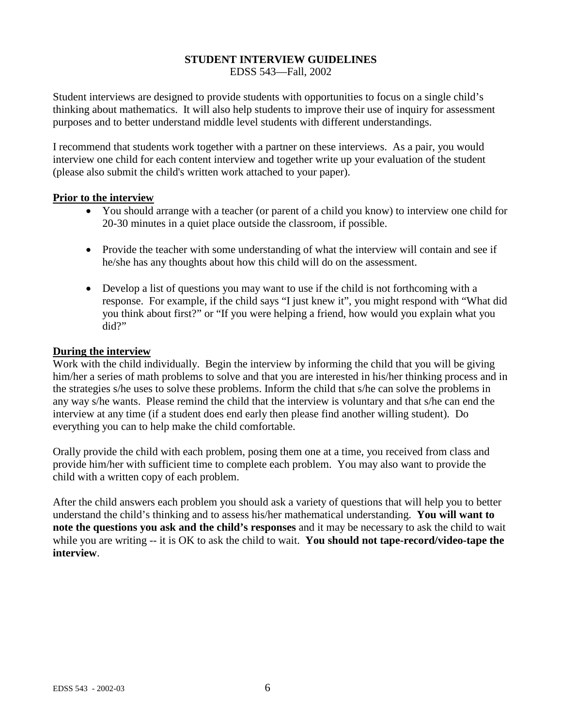#### **STUDENT INTERVIEW GUIDELINES** EDSS 543—Fall, 2002

Student interviews are designed to provide students with opportunities to focus on a single child's thinking about mathematics. It will also help students to improve their use of inquiry for assessment purposes and to better understand middle level students with different understandings.

I recommend that students work together with a partner on these interviews. As a pair, you would interview one child for each content interview and together write up your evaluation of the student (please also submit the child's written work attached to your paper).

## **Prior to the interview**

- You should arrange with a teacher (or parent of a child you know) to interview one child for 20-30 minutes in a quiet place outside the classroom, if possible.
- Provide the teacher with some understanding of what the interview will contain and see if he/she has any thoughts about how this child will do on the assessment.
- Develop a list of questions you may want to use if the child is not forthcoming with a response. For example, if the child says "I just knew it", you might respond with "What did you think about first?" or "If you were helping a friend, how would you explain what you did?"

#### **During the interview**

Work with the child individually. Begin the interview by informing the child that you will be giving him/her a series of math problems to solve and that you are interested in his/her thinking process and in the strategies s/he uses to solve these problems. Inform the child that s/he can solve the problems in any way s/he wants. Please remind the child that the interview is voluntary and that s/he can end the interview at any time (if a student does end early then please find another willing student). Do everything you can to help make the child comfortable.

Orally provide the child with each problem, posing them one at a time, you received from class and provide him/her with sufficient time to complete each problem. You may also want to provide the child with a written copy of each problem.

After the child answers each problem you should ask a variety of questions that will help you to better understand the child's thinking and to assess his/her mathematical understanding. **You will want to note the questions you ask and the child's responses** and it may be necessary to ask the child to wait while you are writing -- it is OK to ask the child to wait. You should not tape-record/video-tape the **interview**.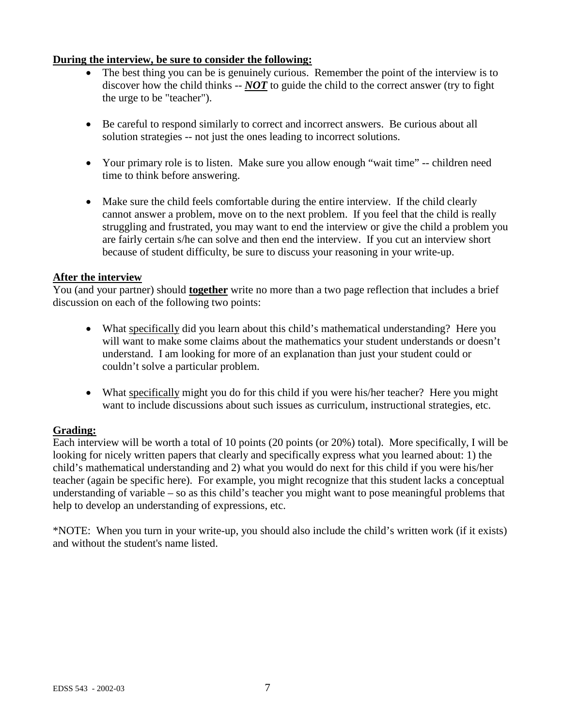## **During the interview, be sure to consider the following:**

- The best thing you can be is genuinely curious. Remember the point of the interview is to discover how the child thinks -- *NOT* to guide the child to the correct answer (try to fight the urge to be "teacher").
- Be careful to respond similarly to correct and incorrect answers. Be curious about all solution strategies -- not just the ones leading to incorrect solutions.
- Your primary role is to listen. Make sure you allow enough "wait time" -- children need time to think before answering.
- Make sure the child feels comfortable during the entire interview. If the child clearly cannot answer a problem, move on to the next problem. If you feel that the child is really struggling and frustrated, you may want to end the interview or give the child a problem you are fairly certain s/he can solve and then end the interview. If you cut an interview short because of student difficulty, be sure to discuss your reasoning in your write-up.

#### **After the interview**

You (and your partner) should **together** write no more than a two page reflection that includes a brief discussion on each of the following two points:

- What specifically did you learn about this child's mathematical understanding? Here you will want to make some claims about the mathematics your student understands or doesn't understand. I am looking for more of an explanation than just your student could or couldn't solve a particular problem.
- What specifically might you do for this child if you were his/her teacher? Here you might want to include discussions about such issues as curriculum, instructional strategies, etc.

## **Grading:**

Each interview will be worth a total of 10 points (20 points (or 20%) total). More specifically, I will be looking for nicely written papers that clearly and specifically express what you learned about: 1) the child's mathematical understanding and 2) what you would do next for this child if you were his/her teacher (again be specific here). For example, you might recognize that this student lacks a conceptual understanding of variable – so as this child's teacher you might want to pose meaningful problems that help to develop an understanding of expressions, etc.

\*NOTE: When you turn in your write-up, you should also include the child's written work (if it exists) and without the student's name listed.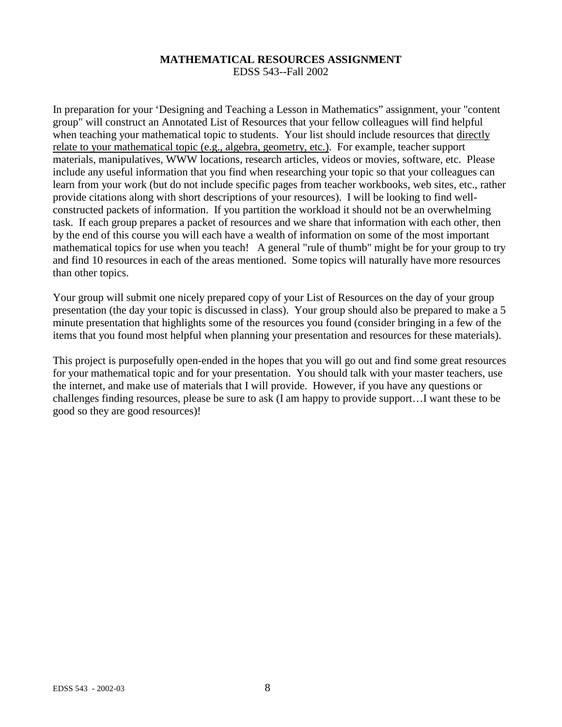#### **MATHEMATICAL RESOURCES ASSIGNMENT** EDSS 543--Fall 2002

In preparation for your 'Designing and Teaching a Lesson in Mathematics" assignment, your "content group" will construct an Annotated List of Resources that your fellow colleagues will find helpful when teaching your mathematical topic to students. Your list should include resources that directly relate to your mathematical topic (e.g., algebra, geometry, etc.). For example, teacher support materials, manipulatives, WWW locations, research articles, videos or movies, software, etc. Please include any useful information that you find when researching your topic so that your colleagues can learn from your work (but do not include specific pages from teacher workbooks, web sites, etc., rather provide citations along with short descriptions of your resources). I will be looking to find wellconstructed packets of information. If you partition the workload it should not be an overwhelming task. If each group prepares a packet of resources and we share that information with each other, then by the end of this course you will each have a wealth of information on some of the most important mathematical topics for use when you teach! A general "rule of thumb" might be for your group to try and find 10 resources in each of the areas mentioned. Some topics will naturally have more resources than other topics.

Your group will submit one nicely prepared copy of your List of Resources on the day of your group presentation (the day your topic is discussed in class). Your group should also be prepared to make a 5 minute presentation that highlights some of the resources you found (consider bringing in a few of the items that you found most helpful when planning your presentation and resources for these materials).

This project is purposefully open-ended in the hopes that you will go out and find some great resources for your mathematical topic and for your presentation. You should talk with your master teachers, use the internet, and make use of materials that I will provide. However, if you have any questions or challenges finding resources, please be sure to ask (I am happy to provide support…I want these to be good so they are good resources)!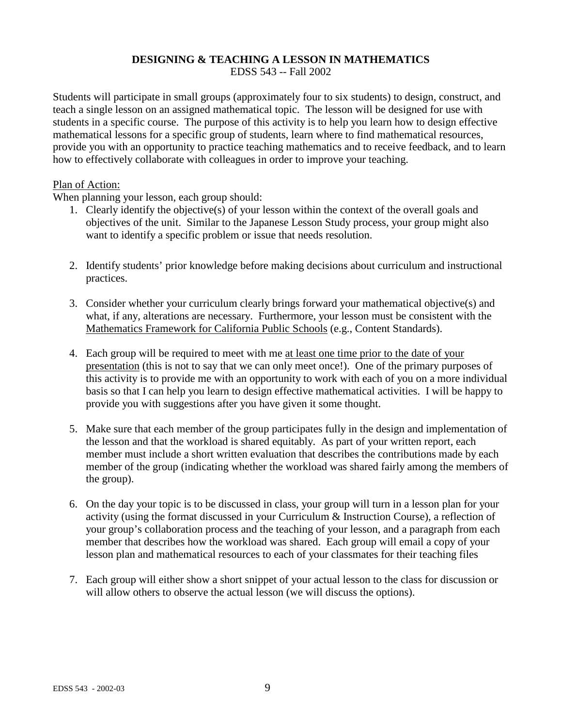# **DESIGNING & TEACHING A LESSON IN MATHEMATICS**

EDSS 543 -- Fall 2002

Students will participate in small groups (approximately four to six students) to design, construct, and teach a single lesson on an assigned mathematical topic. The lesson will be designed for use with students in a specific course. The purpose of this activity is to help you learn how to design effective mathematical lessons for a specific group of students, learn where to find mathematical resources, provide you with an opportunity to practice teaching mathematics and to receive feedback, and to learn how to effectively collaborate with colleagues in order to improve your teaching.

#### Plan of Action:

When planning your lesson, each group should:

- 1. Clearly identify the objective(s) of your lesson within the context of the overall goals and objectives of the unit. Similar to the Japanese Lesson Study process, your group might also want to identify a specific problem or issue that needs resolution.
- 2. Identify students' prior knowledge before making decisions about curriculum and instructional practices.
- 3. Consider whether your curriculum clearly brings forward your mathematical objective(s) and what, if any, alterations are necessary. Furthermore, your lesson must be consistent with the Mathematics Framework for California Public Schools (e.g., Content Standards).
- 4. Each group will be required to meet with me at least one time prior to the date of your presentation (this is not to say that we can only meet once!). One of the primary purposes of this activity is to provide me with an opportunity to work with each of you on a more individual basis so that I can help you learn to design effective mathematical activities. I will be happy to provide you with suggestions after you have given it some thought.
- 5. Make sure that each member of the group participates fully in the design and implementation of the lesson and that the workload is shared equitably. As part of your written report, each member must include a short written evaluation that describes the contributions made by each member of the group (indicating whether the workload was shared fairly among the members of the group).
- 6. On the day your topic is to be discussed in class, your group will turn in a lesson plan for your activity (using the format discussed in your Curriculum & Instruction Course), a reflection of your group's collaboration process and the teaching of your lesson, and a paragraph from each member that describes how the workload was shared. Each group will email a copy of your lesson plan and mathematical resources to each of your classmates for their teaching files
- 7. Each group will either show a short snippet of your actual lesson to the class for discussion or will allow others to observe the actual lesson (we will discuss the options).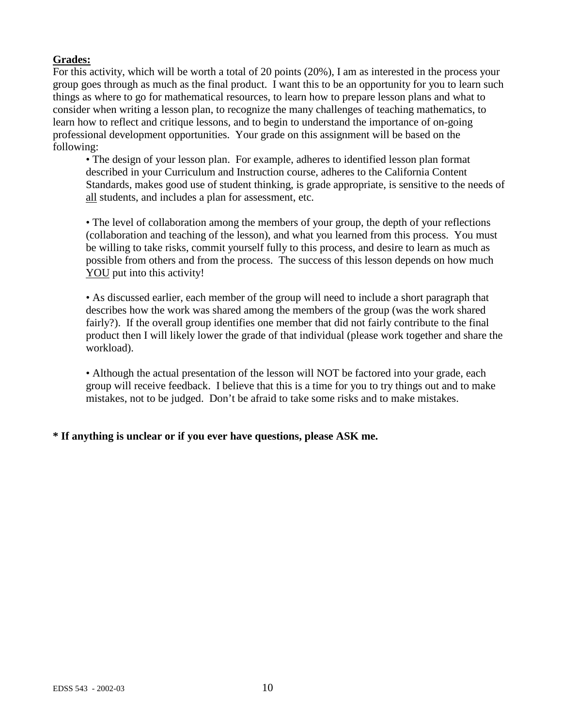# **Grades:**

For this activity, which will be worth a total of 20 points (20%), I am as interested in the process your group goes through as much as the final product. I want this to be an opportunity for you to learn such things as where to go for mathematical resources, to learn how to prepare lesson plans and what to consider when writing a lesson plan, to recognize the many challenges of teaching mathematics, to learn how to reflect and critique lessons, and to begin to understand the importance of on-going professional development opportunities. Your grade on this assignment will be based on the following:

• The design of your lesson plan. For example, adheres to identified lesson plan format described in your Curriculum and Instruction course, adheres to the California Content Standards, makes good use of student thinking, is grade appropriate, is sensitive to the needs of all students, and includes a plan for assessment, etc.

• The level of collaboration among the members of your group, the depth of your reflections (collaboration and teaching of the lesson), and what you learned from this process. You must be willing to take risks, commit yourself fully to this process, and desire to learn as much as possible from others and from the process. The success of this lesson depends on how much YOU put into this activity!

• As discussed earlier, each member of the group will need to include a short paragraph that describes how the work was shared among the members of the group (was the work shared fairly?). If the overall group identifies one member that did not fairly contribute to the final product then I will likely lower the grade of that individual (please work together and share the workload).

• Although the actual presentation of the lesson will NOT be factored into your grade, each group will receive feedback. I believe that this is a time for you to try things out and to make mistakes, not to be judged. Don't be afraid to take some risks and to make mistakes.

# **\* If anything is unclear or if you ever have questions, please ASK me.**